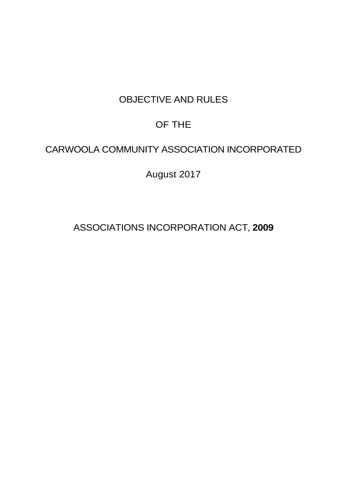# OBJECTIVE AND RULES

# OF THE

# CARWOOLA COMMUNITY ASSOCIATION INCORPORATED

August 2017

ASSOCIATIONS INCORPORATION ACT, **2009**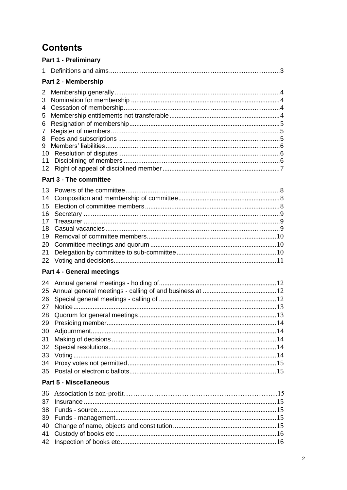# **Contents**

|                                                                     | <b>Part 1 - Preliminary</b>      |
|---------------------------------------------------------------------|----------------------------------|
| 1.                                                                  |                                  |
|                                                                     | Part 2 - Membership              |
| 2<br>3<br>4<br>5<br>6<br>$\overline{7}$<br>8<br>9<br>10<br>11<br>12 |                                  |
|                                                                     | <b>Part 3 - The committee</b>    |
| 13<br>14<br>15<br>16<br>17<br>18<br>19<br>20<br>21<br>22            |                                  |
|                                                                     | <b>Part 4 - General meetings</b> |
| 24<br>25<br>26<br>27<br>28<br>29<br>30<br>31<br>32<br>33<br>34      |                                  |
|                                                                     | <b>Part 5 - Miscellaneous</b>    |
| 36<br>37<br>38<br>39<br>40<br>41<br>42                              |                                  |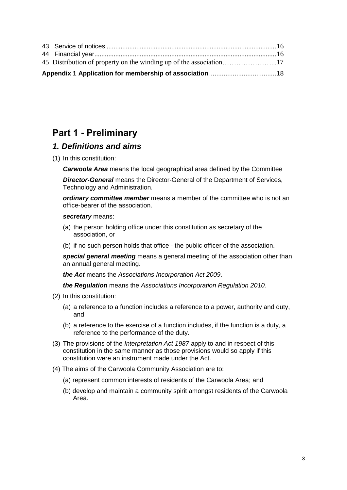## <span id="page-2-0"></span>**Part 1 - Preliminary**

### <span id="page-2-1"></span>*1. Definitions and aims*

(1) In this constitution:

*Carwoola Area* means the local geographical area defined by the Committee

*Director-General* means the Director-General of the Department of Services, Technology and Administration.

*ordinary committee member* means a member of the committee who is not an office-bearer of the association.

#### *secretary* means:

- (a) the person holding office under this constitution as secretary of the association, or
- (b) if no such person holds that office the public officer of the association.

*special general meeting* means a general meeting of the association other than an annual general meeting.

*the Act* means the *[Associations Incorporation Act 2009](http://www.legislation.nsw.gov.au/xref/inforce/?xref=Type%3Dact%20AND%20Year%3D2009%20AND%20no%3D7&nohits=y)*.

*the Regulation* means the *[Associations Incorporation Regulation 2010.](http://www.legislation.nsw.gov.au/xref/inforce/?xref=Type%3Dsubordleg%20AND%20Year%3D2010%20AND%20No%3D238&nohits=y)*

- (2) In this constitution:
	- (a) a reference to a function includes a reference to a power, authority and duty, and
	- (b) a reference to the exercise of a function includes, if the function is a duty, a reference to the performance of the duty.
- (3) The provisions of the *[Interpretation Act 1987](http://www.legislation.nsw.gov.au/xref/inforce/?xref=Type%3Dact%20AND%20Year%3D1987%20AND%20no%3D15&nohits=y)* apply to and in respect of this constitution in the same manner as those provisions would so apply if this constitution were an instrument made under the Act.
- (4) The aims of the Carwoola Community Association are to:
	- (a) represent common interests of residents of the Carwoola Area; and
	- (b) develop and maintain a community spirit amongst residents of the Carwoola Area.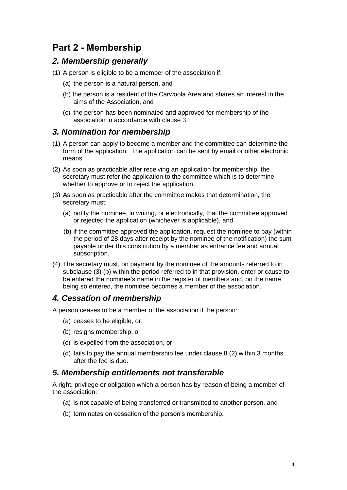## **Part 2 - Membership**

### <span id="page-3-0"></span>*2. Membership generally*

- (1) A person is eligible to be a member of the association if:
	- (a) the person is a natural person, and
	- (b) the person is a resident of the Carwoola Area and shares an interest in the aims of the Association, and
	- (c) the person has been nominated and approved for membership of the association in accordance with clause 3.

### <span id="page-3-1"></span>*3. Nomination for membership*

- (1) A person can apply to become a member and the committee can determine the form of the application. The application can be sent by email or other electronic means.
- (2) As soon as practicable after receiving an application for membership, the secretary must refer the application to the committee which is to determine whether to approve or to reject the application.
- (3) As soon as practicable after the committee makes that determination, the secretary must:
	- (a) notify the nominee, in writing, or electronically, that the committee approved or rejected the application (whichever is applicable), and
	- (b) if the committee approved the application, request the nominee to pay (within the period of 28 days after receipt by the nominee of the notification) the sum payable under this constitution by a member as entrance fee and annual subscription.
- (4) The secretary must, on payment by the nominee of the amounts referred to in subclause (3) (b) within the period referred to in that provision, enter or cause to be entered the nominee's name in the register of members and, on the name being so entered, the nominee becomes a member of the association.

### <span id="page-3-2"></span>*4. Cessation of membership*

A person ceases to be a member of the association if the person:

- (a) ceases to be eligible, or
- (b) resigns membership, or
- (c) is expelled from the association, or
- (d) fails to pay the annual membership fee under clause 8 (2) within 3 months after the fee is due.

#### <span id="page-3-3"></span>*5. Membership entitlements not transferable*

A right, privilege or obligation which a person has by reason of being a member of the association:

- (a) is not capable of being transferred or transmitted to another person, and
- (b) terminates on cessation of the person's membership.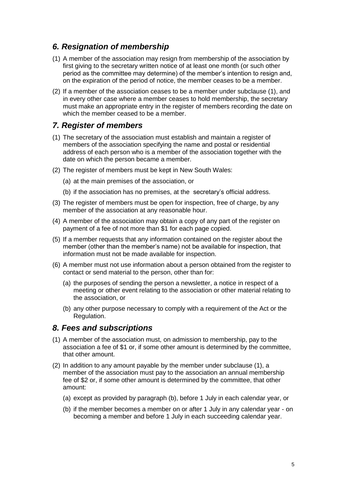### <span id="page-4-0"></span>*6. Resignation of membership*

- (1) A member of the association may resign from membership of the association by first giving to the secretary written notice of at least one month (or such other period as the committee may determine) of the member's intention to resign and, on the expiration of the period of notice, the member ceases to be a member.
- (2) If a member of the association ceases to be a member under subclause (1), and in every other case where a member ceases to hold membership, the secretary must make an appropriate entry in the register of members recording the date on which the member ceased to be a member.

### <span id="page-4-1"></span>*7. Register of members*

- (1) The secretary of the association must establish and maintain a register of members of the association specifying the name and postal or residential address of each person who is a member of the association together with the date on which the person became a member.
- (2) The register of members must be kept in New South Wales:
	- (a) at the main premises of the association, or
	- (b) if the association has no premises, at the secretary's official address.
- (3) The register of members must be open for inspection, free of charge, by any member of the association at any reasonable hour.
- (4) A member of the association may obtain a copy of any part of the register on payment of a fee of not more than \$1 for each page copied.
- (5) If a member requests that any information contained on the register about the member (other than the member's name) not be available for inspection, that information must not be made available for inspection.
- (6) A member must not use information about a person obtained from the register to contact or send material to the person, other than for:
	- (a) the purposes of sending the person a newsletter, a notice in respect of a meeting or other event relating to the association or other material relating to the association, or
	- (b) any other purpose necessary to comply with a requirement of the Act or the Regulation.

#### <span id="page-4-2"></span>*8. Fees and subscriptions*

- (1) A member of the association must, on admission to membership, pay to the association a fee of \$1 or, if some other amount is determined by the committee, that other amount.
- (2) In addition to any amount payable by the member under subclause (1), a member of the association must pay to the association an annual membership fee of \$2 or, if some other amount is determined by the committee, that other amount:
	- (a) except as provided by paragraph (b), before 1 July in each calendar year, or
	- (b) if the member becomes a member on or after 1 July in any calendar year on becoming a member and before 1 July in each succeeding calendar year.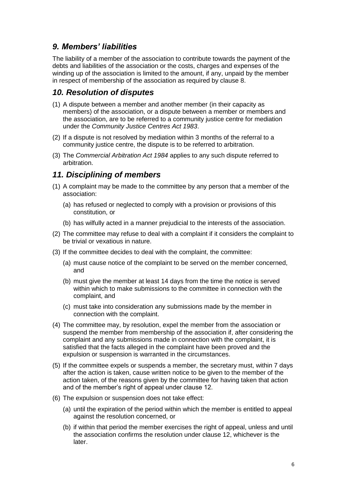### <span id="page-5-0"></span>*9. Members' liabilities*

The liability of a member of the association to contribute towards the payment of the debts and liabilities of the association or the costs, charges and expenses of the winding up of the association is limited to the amount, if any, unpaid by the member in respect of membership of the association as required by clause 8.

### <span id="page-5-1"></span>*10. Resolution of disputes*

- (1) A dispute between a member and another member (in their capacity as members) of the association, or a dispute between a member or members and the association, are to be referred to a community justice centre for mediation under the *[Community Justice Centres Act 1983](http://www.legislation.nsw.gov.au/xref/inforce/?xref=Type%3Dact%20AND%20Year%3D1983%20AND%20no%3D127&nohits=y)*.
- (2) If a dispute is not resolved by mediation within 3 months of the referral to a community justice centre, the dispute is to be referred to arbitration.
- (3) The *[Commercial Arbitration Act 1984](http://www.legislation.nsw.gov.au/xref/inforce/?xref=Type%3Dact%20AND%20Year%3D1984%20AND%20no%3D160&nohits=y)* applies to any such dispute referred to arbitration.

### <span id="page-5-2"></span>*11. Disciplining of members*

- (1) A complaint may be made to the committee by any person that a member of the association:
	- (a) has refused or neglected to comply with a provision or provisions of this constitution, or
	- (b) has wilfully acted in a manner prejudicial to the interests of the association.
- (2) The committee may refuse to deal with a complaint if it considers the complaint to be trivial or vexatious in nature.
- (3) If the committee decides to deal with the complaint, the committee:
	- (a) must cause notice of the complaint to be served on the member concerned, and
	- (b) must give the member at least 14 days from the time the notice is served within which to make submissions to the committee in connection with the complaint, and
	- (c) must take into consideration any submissions made by the member in connection with the complaint.
- (4) The committee may, by resolution, expel the member from the association or suspend the member from membership of the association if, after considering the complaint and any submissions made in connection with the complaint, it is satisfied that the facts alleged in the complaint have been proved and the expulsion or suspension is warranted in the circumstances.
- (5) If the committee expels or suspends a member, the secretary must, within 7 days after the action is taken, cause written notice to be given to the member of the action taken, of the reasons given by the committee for having taken that action and of the member's right of appeal under clause 12.
- (6) The expulsion or suspension does not take effect:
	- (a) until the expiration of the period within which the member is entitled to appeal against the resolution concerned, or
	- (b) if within that period the member exercises the right of appeal, unless and until the association confirms the resolution under clause 12, whichever is the later.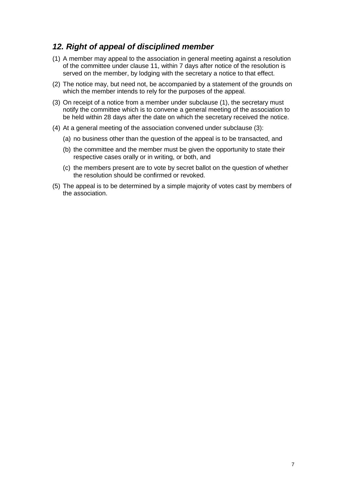### <span id="page-6-0"></span>*12. Right of appeal of disciplined member*

- (1) A member may appeal to the association in general meeting against a resolution of the committee under clause 11, within 7 days after notice of the resolution is served on the member, by lodging with the secretary a notice to that effect.
- (2) The notice may, but need not, be accompanied by a statement of the grounds on which the member intends to rely for the purposes of the appeal.
- (3) On receipt of a notice from a member under subclause (1), the secretary must notify the committee which is to convene a general meeting of the association to be held within 28 days after the date on which the secretary received the notice.
- (4) At a general meeting of the association convened under subclause (3):
	- (a) no business other than the question of the appeal is to be transacted, and
	- (b) the committee and the member must be given the opportunity to state their respective cases orally or in writing, or both, and
	- (c) the members present are to vote by secret ballot on the question of whether the resolution should be confirmed or revoked.
- (5) The appeal is to be determined by a simple majority of votes cast by members of the association.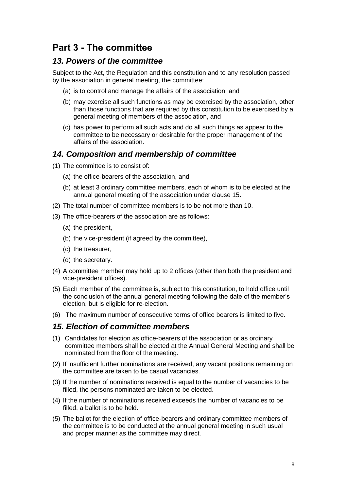## **Part 3 - The committee**

### <span id="page-7-0"></span>*13. Powers of the committee*

Subject to the Act, the Regulation and this constitution and to any resolution passed by the association in general meeting, the committee:

- (a) is to control and manage the affairs of the association, and
- (b) may exercise all such functions as may be exercised by the association, other than those functions that are required by this constitution to be exercised by a general meeting of members of the association, and
- (c) has power to perform all such acts and do all such things as appear to the committee to be necessary or desirable for the proper management of the affairs of the association.

### <span id="page-7-1"></span>*14. Composition and membership of committee*

- (1) The committee is to consist of:
	- (a) the office-bearers of the association, and
	- (b) at least 3 ordinary committee members, each of whom is to be elected at the annual general meeting of the association under clause 15.
- (2) The total number of committee members is to be not more than 10.
- (3) The office-bearers of the association are as follows:
	- (a) the president,
	- (b) the vice-president (if agreed by the committee),
	- (c) the treasurer,
	- (d) the secretary.
- (4) A committee member may hold up to 2 offices (other than both the president and vice-president offices).
- (5) Each member of the committee is, subject to this constitution, to hold office until the conclusion of the annual general meeting following the date of the member's election, but is eligible for re-election.
- (6) The maximum number of consecutive terms of office bearers is limited to five.

#### <span id="page-7-2"></span>*15. Election of committee members*

- (1) Candidates for election as office-bearers of the association or as ordinary committee members shall be elected at the Annual General Meeting and shall be nominated from the floor of the meeting.
- (2) If insufficient further nominations are received, any vacant positions remaining on the committee are taken to be casual vacancies.
- (3) If the number of nominations received is equal to the number of vacancies to be filled, the persons nominated are taken to be elected.
- (4) If the number of nominations received exceeds the number of vacancies to be filled, a ballot is to be held.
- (5) The ballot for the election of office-bearers and ordinary committee members of the committee is to be conducted at the annual general meeting in such usual and proper manner as the committee may direct.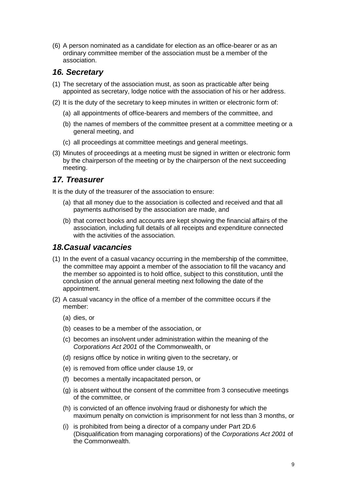(6) A person nominated as a candidate for election as an office-bearer or as an ordinary committee member of the association must be a member of the association.

### <span id="page-8-0"></span>*16. Secretary*

- (1) The secretary of the association must, as soon as practicable after being appointed as secretary, lodge notice with the association of his or her address.
- (2) It is the duty of the secretary to keep minutes in written or electronic form of:
	- (a) all appointments of office-bearers and members of the committee, and
	- (b) the names of members of the committee present at a committee meeting or a general meeting, and
	- (c) all proceedings at committee meetings and general meetings.
- (3) Minutes of proceedings at a meeting must be signed in written or electronic form by the chairperson of the meeting or by the chairperson of the next succeeding meeting.

### <span id="page-8-1"></span>*17. Treasurer*

It is the duty of the treasurer of the association to ensure:

- (a) that all money due to the association is collected and received and that all payments authorised by the association are made, and
- (b) that correct books and accounts are kept showing the financial affairs of the association, including full details of all receipts and expenditure connected with the activities of the association.

#### <span id="page-8-2"></span>*18.Casual vacancies*

- (1) In the event of a casual vacancy occurring in the membership of the committee, the committee may appoint a member of the association to fill the vacancy and the member so appointed is to hold office, subject to this constitution, until the conclusion of the annual general meeting next following the date of the appointment.
- (2) A casual vacancy in the office of a member of the committee occurs if the member:
	- (a) dies, or
	- (b) ceases to be a member of the association, or
	- (c) becomes an insolvent under administration within the meaning of the *[Corporations Act 2001](http://www.comlaw.gov.au/)* of the Commonwealth, or
	- (d) resigns office by notice in writing given to the secretary, or
	- (e) is removed from office under clause 19, or
	- (f) becomes a mentally incapacitated person, or
	- (g) is absent without the consent of the committee from 3 consecutive meetings of the committee, or
	- (h) is convicted of an offence involving fraud or dishonesty for which the maximum penalty on conviction is imprisonment for not less than 3 months, or
	- (i) is prohibited from being a director of a company under Part 2D.6 (Disqualification from managing corporations) of the *[Corporations Act 2001](http://www.comlaw.gov.au/)* of the Commonwealth.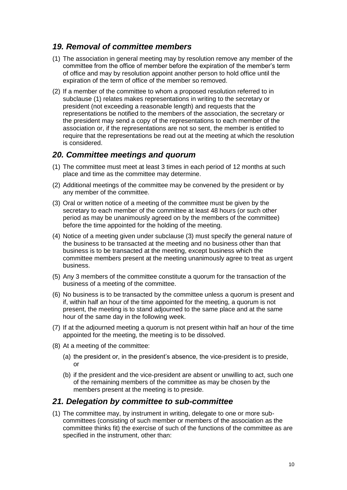### <span id="page-9-0"></span>*19. Removal of committee members*

- (1) The association in general meeting may by resolution remove any member of the committee from the office of member before the expiration of the member's term of office and may by resolution appoint another person to hold office until the expiration of the term of office of the member so removed.
- (2) If a member of the committee to whom a proposed resolution referred to in subclause (1) relates makes representations in writing to the secretary or president (not exceeding a reasonable length) and requests that the representations be notified to the members of the association, the secretary or the president may send a copy of the representations to each member of the association or, if the representations are not so sent, the member is entitled to require that the representations be read out at the meeting at which the resolution is considered.

### <span id="page-9-1"></span>*20. Committee meetings and quorum*

- (1) The committee must meet at least 3 times in each period of 12 months at such place and time as the committee may determine.
- (2) Additional meetings of the committee may be convened by the president or by any member of the committee.
- (3) Oral or written notice of a meeting of the committee must be given by the secretary to each member of the committee at least 48 hours (or such other period as may be unanimously agreed on by the members of the committee) before the time appointed for the holding of the meeting.
- (4) Notice of a meeting given under subclause (3) must specify the general nature of the business to be transacted at the meeting and no business other than that business is to be transacted at the meeting, except business which the committee members present at the meeting unanimously agree to treat as urgent business.
- (5) Any 3 members of the committee constitute a quorum for the transaction of the business of a meeting of the committee.
- (6) No business is to be transacted by the committee unless a quorum is present and if, within half an hour of the time appointed for the meeting, a quorum is not present, the meeting is to stand adjourned to the same place and at the same hour of the same day in the following week.
- (7) If at the adjourned meeting a quorum is not present within half an hour of the time appointed for the meeting, the meeting is to be dissolved.
- (8) At a meeting of the committee:
	- (a) the president or, in the president's absence, the vice-president is to preside, or
	- (b) if the president and the vice-president are absent or unwilling to act, such one of the remaining members of the committee as may be chosen by the members present at the meeting is to preside.

#### <span id="page-9-2"></span>*21. Delegation by committee to sub-committee*

(1) The committee may, by instrument in writing, delegate to one or more subcommittees (consisting of such member or members of the association as the committee thinks fit) the exercise of such of the functions of the committee as are specified in the instrument, other than: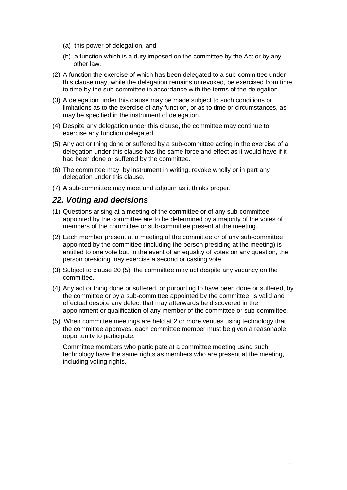- (a) this power of delegation, and
- (b) a function which is a duty imposed on the committee by the Act or by any other law.
- (2) A function the exercise of which has been delegated to a sub-committee under this clause may, while the delegation remains unrevoked, be exercised from time to time by the sub-committee in accordance with the terms of the delegation.
- (3) A delegation under this clause may be made subject to such conditions or limitations as to the exercise of any function, or as to time or circumstances, as may be specified in the instrument of delegation.
- (4) Despite any delegation under this clause, the committee may continue to exercise any function delegated.
- (5) Any act or thing done or suffered by a sub-committee acting in the exercise of a delegation under this clause has the same force and effect as it would have if it had been done or suffered by the committee.
- (6) The committee may, by instrument in writing, revoke wholly or in part any delegation under this clause.
- (7) A sub-committee may meet and adjourn as it thinks proper.

#### <span id="page-10-0"></span>*22. Voting and decisions*

- (1) Questions arising at a meeting of the committee or of any sub-committee appointed by the committee are to be determined by a majority of the votes of members of the committee or sub-committee present at the meeting.
- (2) Each member present at a meeting of the committee or of any sub-committee appointed by the committee (including the person presiding at the meeting) is entitled to one vote but, in the event of an equality of votes on any question, the person presiding may exercise a second or casting vote.
- (3) Subject to clause 20 (5), the committee may act despite any vacancy on the committee.
- (4) Any act or thing done or suffered, or purporting to have been done or suffered, by the committee or by a sub-committee appointed by the committee, is valid and effectual despite any defect that may afterwards be discovered in the appointment or qualification of any member of the committee or sub-committee.
- (5) When committee meetings are held at 2 or more venues using technology that the committee approves, each committee member must be given a reasonable opportunity to participate.

<span id="page-10-1"></span>Committee members who participate at a committee meeting using such technology have the same rights as members who are present at the meeting, including voting rights.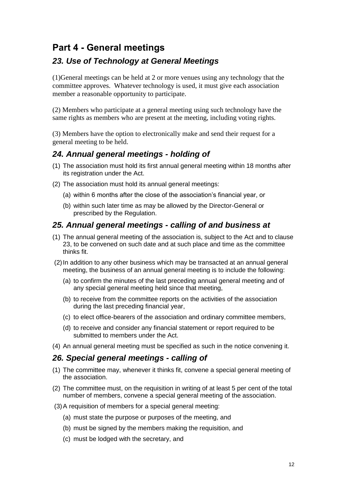## **Part 4 - General meetings**

### *23. Use of Technology at General Meetings*

(1)General meetings can be held at 2 or more venues using any technology that the committee approves. Whatever technology is used, it must give each association member a reasonable opportunity to participate.

(2) Members who participate at a general meeting using such technology have the same rights as members who are present at the meeting, including voting rights.

(3) Members have the option to electronically make and send their request for a general meeting to be held.

### <span id="page-11-0"></span>*24. Annual general meetings - holding of*

- (1) The association must hold its first annual general meeting within 18 months after its registration under the Act.
- (2) The association must hold its annual general meetings:
	- (a) within 6 months after the close of the association's financial year, or
	- (b) within such later time as may be allowed by the Director-General or prescribed by the Regulation.

### <span id="page-11-1"></span>*25. Annual general meetings - calling of and business at*

- (1) The annual general meeting of the association is, subject to the Act and to clause 23, to be convened on such date and at such place and time as the committee thinks fit.
- (2)In addition to any other business which may be transacted at an annual general meeting, the business of an annual general meeting is to include the following:
	- (a) to confirm the minutes of the last preceding annual general meeting and of any special general meeting held since that meeting,
	- (b) to receive from the committee reports on the activities of the association during the last preceding financial year,
	- (c) to elect office-bearers of the association and ordinary committee members,
	- (d) to receive and consider any financial statement or report required to be submitted to members under the Act.
- (4) An annual general meeting must be specified as such in the notice convening it.

#### <span id="page-11-2"></span>*26. Special general meetings - calling of*

- (1) The committee may, whenever it thinks fit, convene a special general meeting of the association.
- (2) The committee must, on the requisition in writing of at least 5 per cent of the total number of members, convene a special general meeting of the association.
- (3)A requisition of members for a special general meeting:
	- (a) must state the purpose or purposes of the meeting, and
	- (b) must be signed by the members making the requisition, and
	- (c) must be lodged with the secretary, and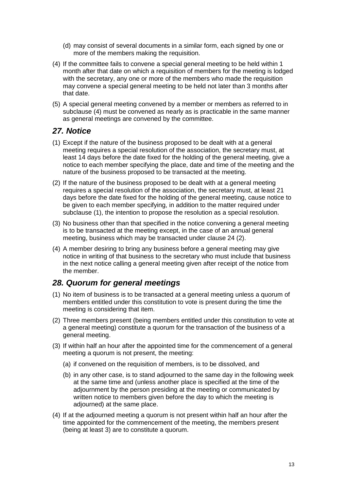- (d) may consist of several documents in a similar form, each signed by one or more of the members making the requisition.
- (4) If the committee fails to convene a special general meeting to be held within 1 month after that date on which a requisition of members for the meeting is lodged with the secretary, any one or more of the members who made the requisition may convene a special general meeting to be held not later than 3 months after that date.
- (5) A special general meeting convened by a member or members as referred to in subclause (4) must be convened as nearly as is practicable in the same manner as general meetings are convened by the committee.

### <span id="page-12-0"></span>*27. Notice*

- (1) Except if the nature of the business proposed to be dealt with at a general meeting requires a special resolution of the association, the secretary must, at least 14 days before the date fixed for the holding of the general meeting, give a notice to each member specifying the place, date and time of the meeting and the nature of the business proposed to be transacted at the meeting.
- (2) If the nature of the business proposed to be dealt with at a general meeting requires a special resolution of the association, the secretary must, at least 21 days before the date fixed for the holding of the general meeting, cause notice to be given to each member specifying, in addition to the matter required under subclause (1), the intention to propose the resolution as a special resolution.
- (3) No business other than that specified in the notice convening a general meeting is to be transacted at the meeting except, in the case of an annual general meeting, business which may be transacted under clause 24 (2).
- (4) A member desiring to bring any business before a general meeting may give notice in writing of that business to the secretary who must include that business in the next notice calling a general meeting given after receipt of the notice from the member.

### <span id="page-12-1"></span>*28. Quorum for general meetings*

- (1) No item of business is to be transacted at a general meeting unless a quorum of members entitled under this constitution to vote is present during the time the meeting is considering that item.
- (2) Three members present (being members entitled under this constitution to vote at a general meeting) constitute a quorum for the transaction of the business of a general meeting.
- (3) If within half an hour after the appointed time for the commencement of a general meeting a quorum is not present, the meeting:
	- (a) if convened on the requisition of members, is to be dissolved, and
	- (b) in any other case, is to stand adjourned to the same day in the following week at the same time and (unless another place is specified at the time of the adjournment by the person presiding at the meeting or communicated by written notice to members given before the day to which the meeting is adjourned) at the same place.
- (4) If at the adjourned meeting a quorum is not present within half an hour after the time appointed for the commencement of the meeting, the members present (being at least 3) are to constitute a quorum.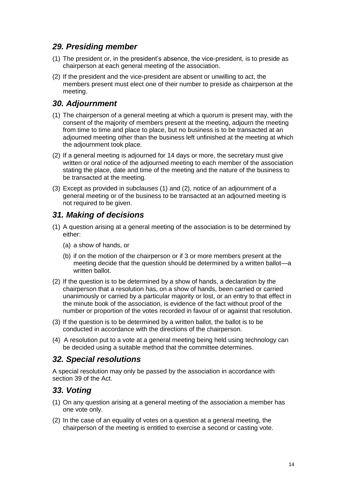### <span id="page-13-0"></span>*29. Presiding member*

- (1) The president or, in the president's absence, the vice-president, is to preside as chairperson at each general meeting of the association.
- (2) If the president and the vice-president are absent or unwilling to act, the members present must elect one of their number to preside as chairperson at the meeting.

### <span id="page-13-1"></span>*30. Adjournment*

- (1) The chairperson of a general meeting at which a quorum is present may, with the consent of the majority of members present at the meeting, adjourn the meeting from time to time and place to place, but no business is to be transacted at an adjourned meeting other than the business left unfinished at the meeting at which the adjournment took place.
- (2) If a general meeting is adjourned for 14 days or more, the secretary must give written or oral notice of the adjourned meeting to each member of the association stating the place, date and time of the meeting and the nature of the business to be transacted at the meeting.
- (3) Except as provided in subclauses (1) and (2), notice of an adjournment of a general meeting or of the business to be transacted at an adjourned meeting is not required to be given.

### <span id="page-13-2"></span>*31. Making of decisions*

- (1) A question arising at a general meeting of the association is to be determined by either:
	- (a) a show of hands, or
	- (b) if on the motion of the chairperson or if 3 or more members present at the meeting decide that the question should be determined by a written ballot—a written ballot.
- (2) If the question is to be determined by a show of hands, a declaration by the chairperson that a resolution has, on a show of hands, been carried or carried unanimously or carried by a particular majority or lost, or an entry to that effect in the minute book of the association, is evidence of the fact without proof of the number or proportion of the votes recorded in favour of or against that resolution.
- (3) If the question is to be determined by a written ballot, the ballot is to be conducted in accordance with the directions of the chairperson.
- (4) A resolution put to a vote at a general meeting being held using technology can be decided using a suitable method that the committee determines.

### <span id="page-13-3"></span>*32. Special resolutions*

A special resolution may only be passed by the association in accordance with section 39 of the Act.

### <span id="page-13-4"></span>*33. Voting*

- (1) On any question arising at a general meeting of the association a member has one vote only.
- (2) In the case of an equality of votes on a question at a general meeting, the chairperson of the meeting is entitled to exercise a second or casting vote.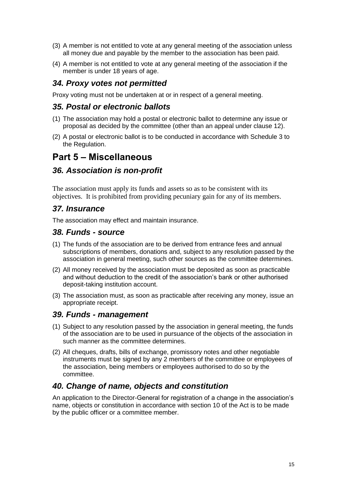- (3) A member is not entitled to vote at any general meeting of the association unless all money due and payable by the member to the association has been paid.
- (4) A member is not entitled to vote at any general meeting of the association if the member is under 18 years of age.

### <span id="page-14-0"></span>*34. Proxy votes not permitted*

Proxy voting must not be undertaken at or in respect of a general meeting.

### <span id="page-14-1"></span>*35. Postal or electronic ballots*

- (1) The association may hold a postal or electronic ballot to determine any issue or proposal as decided by the committee (other than an appeal under clause 12).
- (2) A postal or electronic ballot is to be conducted in accordance with Schedule 3 to the Regulation.

### <span id="page-14-2"></span>**Part 5 – Miscellaneous**

#### *36. Association is non-profit*

The association must apply its funds and assets so as to be consistent with its objectives. It is prohibited from providing pecuniary gain for any of its members.

### <span id="page-14-3"></span>*37. Insurance*

The association may effect and maintain insurance.

#### <span id="page-14-4"></span>*38. Funds - source*

- (1) The funds of the association are to be derived from entrance fees and annual subscriptions of members, donations and, subject to any resolution passed by the association in general meeting, such other sources as the committee determines.
- (2) All money received by the association must be deposited as soon as practicable and without deduction to the credit of the association's bank or other authorised deposit-taking institution account.
- (3) The association must, as soon as practicable after receiving any money, issue an appropriate receipt.

#### <span id="page-14-5"></span>*39. Funds - management*

- (1) Subject to any resolution passed by the association in general meeting, the funds of the association are to be used in pursuance of the objects of the association in such manner as the committee determines.
- (2) All cheques, drafts, bills of exchange, promissory notes and other negotiable instruments must be signed by any 2 members of the committee or employees of the association, being members or employees authorised to do so by the committee.

### <span id="page-14-6"></span>*40. Change of name, objects and constitution*

An application to the Director-General for registration of a change in the association's name, objects or constitution in accordance with section 10 of the Act is to be made by the public officer or a committee member.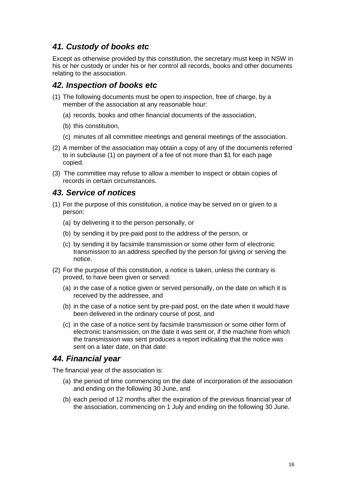### <span id="page-15-0"></span>*41. Custody of books etc*

Except as otherwise provided by this constitution, the secretary must keep in NSW in his or her custody or under his or her control all records, books and other documents relating to the association.

#### <span id="page-15-1"></span>*42. Inspection of books etc*

- (1) The following documents must be open to inspection, free of charge, by a member of the association at any reasonable hour:
	- (a) records, books and other financial documents of the association,
	- (b) this constitution,
	- (c) minutes of all committee meetings and general meetings of the association.
- (2) A member of the association may obtain a copy of any of the documents referred to in subclause (1) on payment of a fee of not more than \$1 for each page copied.
- (3) The committee may refuse to allow a member to inspect or obtain copies of records in certain circumstances.

### <span id="page-15-2"></span>*43. Service of notices*

- (1) For the purpose of this constitution, a notice may be served on or given to a person:
	- (a) by delivering it to the person personally, or
	- (b) by sending it by pre-paid post to the address of the person, or
	- (c) by sending it by facsimile transmission or some other form of electronic transmission to an address specified by the person for giving or serving the notice.
- (2) For the purpose of this constitution, a notice is taken, unless the contrary is proved, to have been given or served:
	- (a) in the case of a notice given or served personally, on the date on which it is received by the addressee, and
	- (b) in the case of a notice sent by pre-paid post, on the date when it would have been delivered in the ordinary course of post, and
	- (c) in the case of a notice sent by facsimile transmission or some other form of electronic transmission, on the date it was sent or, if the machine from which the transmission was sent produces a report indicating that the notice was sent on a later date, on that date.

#### <span id="page-15-3"></span>*44. Financial year*

The financial year of the association is:

- (a) the period of time commencing on the date of incorporation of the association and ending on the following 30 June, and
- (b) each period of 12 months after the expiration of the previous financial year of the association, commencing on 1 July and ending on the following 30 June.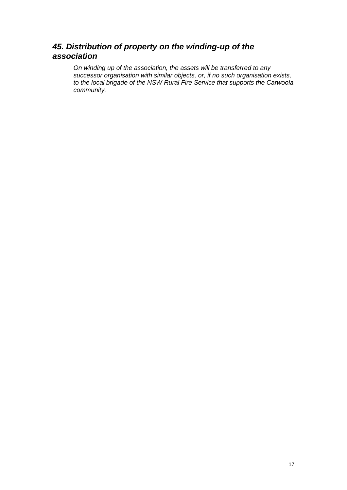### *45. Distribution of property on the winding-up of the association*

*On winding up of the association, the assets will be transferred to any successor organisation with similar objects, or, if no such organisation exists, to the local brigade of the NSW Rural Fire Service that supports the Carwoola community.*